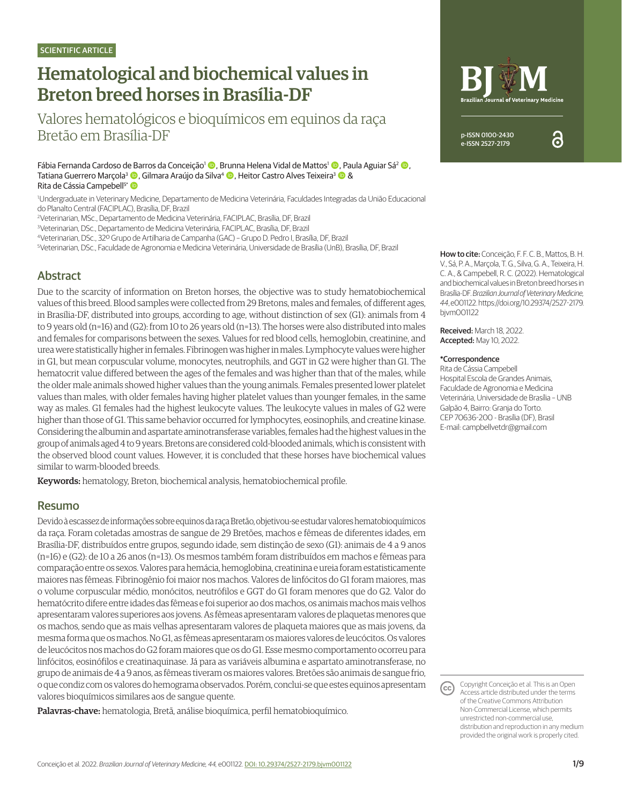# Hematological and biochemical values in Breton breed horses in Brasília-DF

Valores hematológicos e bioquímicos em equinos da raça Bretão em Brasília-DF

Fábia Fernanda Cardoso de Barros da Conceição<sup>1</sup> (**D**. Brunna Helena Vidal de Mattos<sup>1</sup> (**D**. Paula Aguiar Sá<sup>2</sup> (**D**. Tatiana Guerrero Marçola<sup>3</sup> (D. Gilmara Araújo da Silva<sup>4</sup> (D. Heitor Castro Alves Teixeira<sup>3</sup> (D. & Rita de Cássia Campebell<sup>5\*</sup>

<sup>1</sup>Undergraduate in Veterinary Medicine, Departamento de Medicina Veterinária, Faculdades Integradas da União Educacional do Planalto Central (FACIPLAC), Brasília, DF, Brazil

2.Veterinarian, MSc., Departamento de Medicina Veterinária, FACIPLAC, Brasília, DF, Brazil

3.Veterinarian, DSc., Departamento de Medicina Veterinária, FACIPLAC, Brasília, DF, Brazil

4.Veterinarian, DSc., 32º Grupo de Artilharia de Campanha (GAC) – Grupo D. Pedro I, Brasília, DF, Brazil

5.Veterinarian, DSc., Faculdade de Agronomia e Medicina Veterinária, Universidade de Brasília (UnB), Brasília, DF, Brazil **How to cite:** Conceição, F. F. C. B., Mattos, B. H.

# Abstract

Due to the scarcity of information on Breton horses, the objective was to study hematobiochemical values of this breed. Blood samples were collected from 29 Bretons, males and females, of different ages, in Brasília-DF, distributed into groups, according to age, without distinction of sex (G1): animals from 4 to 9 years old (n=16) and (G2): from 10 to 26 years old (n=13). The horses were also distributed into males and females for comparisons between the sexes. Values for red blood cells, hemoglobin, creatinine, and urea were statistically higher in females. Fibrinogen was higher in males. Lymphocyte values were higher in G1, but mean corpuscular volume, monocytes, neutrophils, and GGT in G2 were higher than G1. The hematocrit value differed between the ages of the females and was higher than that of the males, while the older male animals showed higher values than the young animals. Females presented lower platelet values than males, with older females having higher platelet values than younger females, in the same way as males. G1 females had the highest leukocyte values. The leukocyte values in males of G2 were higher than those of G1. This same behavior occurred for lymphocytes, eosinophils, and creatine kinase. Considering the albumin and aspartate aminotransferase variables, females had the highest values in the group of animals aged 4 to 9 years. Bretons are considered cold-blooded animals, which is consistent with the observed blood count values. However, it is concluded that these horses have biochemical values similar to warm-blooded breeds.

Keywords: hematology, Breton, biochemical analysis, hematobiochemical profile.

#### Resumo

Devido à escassez de informações sobre equinos da raça Bretão, objetivou-se estudar valores hematobioquímicos da raça. Foram coletadas amostras de sangue de 29 Bretões, machos e fêmeas de diferentes idades, em Brasília-DF, distribuídos entre grupos, segundo idade, sem distinção de sexo (G1): animais de 4 a 9 anos (n=16) e (G2): de 10 a 26 anos (n=13). Os mesmos também foram distribuídos em machos e fêmeas para comparação entre os sexos. Valores para hemácia, hemoglobina, creatinina e ureia foram estatisticamente maiores nas fêmeas. Fibrinogênio foi maior nos machos. Valores de linfócitos do G1 foram maiores, mas o volume corpuscular médio, monócitos, neutrófilos e GGT do G1 foram menores que do G2. Valor do hematócrito difere entre idades das fêmeas e foi superior ao dos machos, os animais machos mais velhos apresentaram valores superiores aos jovens. As fêmeas apresentaram valores de plaquetas menores que os machos, sendo que as mais velhas apresentaram valores de plaqueta maiores que as mais jovens, da mesma forma que os machos. No G1, as fêmeas apresentaram os maiores valores de leucócitos. Os valores de leucócitos nos machos do G2 foram maiores que os do G1. Esse mesmo comportamento ocorreu para linfócitos, eosinófilos e creatinaquinase. Já para as variáveis albumina e aspartato aminotransferase, no grupo de animais de 4 a 9 anos, as fêmeas tiveram os maiores valores. Bretões são animais de sangue frio, o que condiz com os valores do hemograma observados. Porém, conclui-se que estes equinos apresentam valores bioquímicos similares aos de sangue quente.

Palavras-chave: hematologia, Bretã, análise bioquímica, perfil hematobioquímico.



V., Sá, P. A., Marçola, T. G., Silva, G. A., Teixeira, H. C. A., & Campebell, R. C. (2022). Hematological and biochemical values in Breton breed horses in Brasília-DF. *Brazilian Journal of Veterinary Medicine, 44*, e001122. https://doi.org/10.29374/2527-2179. bjvm001122

Received: March 18, 2022. Accepted: May 10, 2022.

#### \*Correspondence

Rita de Cássia Campebell Hospital Escola de Grandes Animais, Faculdade de Agronomia e Medicina Veterinária, Universidade de Brasília – UNB Galpão 4, Bairro: Granja do Torto. CEP 70636-200 - Brasília (DF), Brasil E-mail: campbellvetdr@gmail.com

Copyright Conceição et al. This is an Open (cc) Access article distributed under the terms of the Creative Commons Attribution Non-Commercial License, which permits unrestricted non-commercial use, distribution and reproduction in any medium provided the original work is properly cited.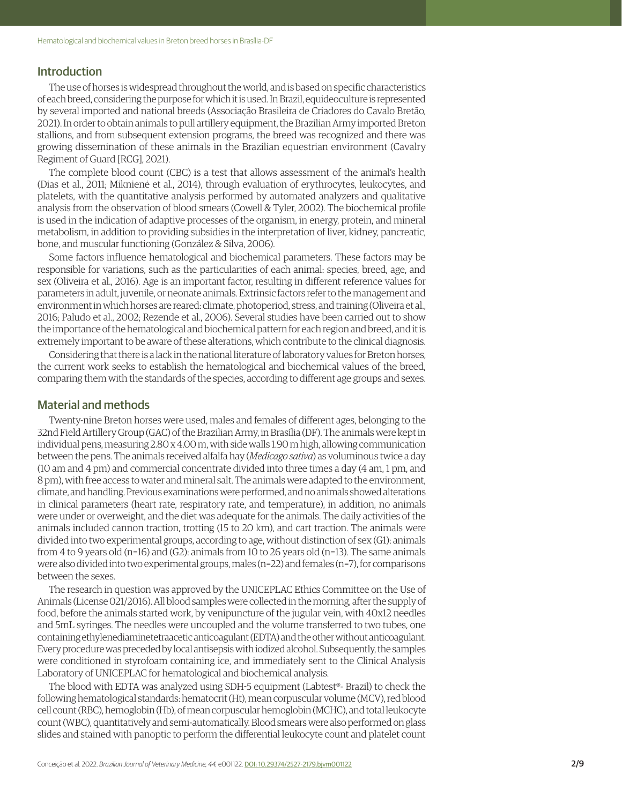#### **Introduction**

The use of horses is widespread throughout the world, and is based on specific characteristics of each breed, considering the purpose for which it is used. In Brazil, equideoculture is represented by several imported and national breeds (Associação Brasileira de Criadores do Cavalo Bretão, 2021). In order to obtain animals to pull artillery equipment, the Brazilian Army imported Breton stallions, and from subsequent extension programs, the breed was recognized and there was growing dissemination of these animals in the Brazilian equestrian environment (Cavalry Regiment of Guard [RCG], 2021).

The complete blood count (CBC) is a test that allows assessment of the animal's health (Dias et al., 2011; Miknienė et al., 2014), through evaluation of erythrocytes, leukocytes, and platelets, with the quantitative analysis performed by automated analyzers and qualitative analysis from the observation of blood smears (Cowell & Tyler, 2002). The biochemical profile is used in the indication of adaptive processes of the organism, in energy, protein, and mineral metabolism, in addition to providing subsidies in the interpretation of liver, kidney, pancreatic, bone, and muscular functioning (González & Silva, 2006).

Some factors influence hematological and biochemical parameters. These factors may be responsible for variations, such as the particularities of each animal: species, breed, age, and sex (Oliveira et al., 2016). Age is an important factor, resulting in different reference values for parameters in adult, juvenile, or neonate animals. Extrinsic factors refer to the management and environment in which horses are reared: climate, photoperiod, stress, and training (Oliveira et al., 2016; Paludo et al., 2002; Rezende et al., 2006). Several studies have been carried out to show the importance of the hematological and biochemical pattern for each region and breed, and it is extremely important to be aware of these alterations, which contribute to the clinical diagnosis.

Considering that there is a lack in the national literature of laboratory values for Breton horses, the current work seeks to establish the hematological and biochemical values of the breed, comparing them with the standards of the species, according to different age groups and sexes.

#### Material and methods

Twenty-nine Breton horses were used, males and females of different ages, belonging to the 32nd Field Artillery Group (GAC) of the Brazilian Army, in Brasília (DF). The animals were kept in individual pens, measuring 2.80 x 4.00 m, with side walls 1.90 m high, allowing communication between the pens. The animals received alfalfa hay (*Medicago sativa*) as voluminous twice a day (10 am and 4 pm) and commercial concentrate divided into three times a day (4 am, 1 pm, and 8 pm), with free access to water and mineral salt. The animals were adapted to the environment, climate, and handling. Previous examinations were performed, and no animals showed alterations in clinical parameters (heart rate, respiratory rate, and temperature), in addition, no animals were under or overweight, and the diet was adequate for the animals. The daily activities of the animals included cannon traction, trotting (15 to 20 km), and cart traction. The animals were divided into two experimental groups, according to age, without distinction of sex (G1): animals from 4 to 9 years old (n=16) and (G2): animals from 10 to 26 years old (n=13). The same animals were also divided into two experimental groups, males (n=22) and females (n=7), for comparisons between the sexes.

The research in question was approved by the UNICEPLAC Ethics Committee on the Use of Animals (License 021/2016). All blood samples were collected in the morning, after the supply of food, before the animals started work, by venipuncture of the jugular vein, with 40x12 needles and 5mL syringes. The needles were uncoupled and the volume transferred to two tubes, one containing ethylenediaminetetraacetic anticoagulant (EDTA) and the other without anticoagulant. Every procedure was preceded by local antisepsis with iodized alcohol. Subsequently, the samples were conditioned in styrofoam containing ice, and immediately sent to the Clinical Analysis Laboratory of UNICEPLAC for hematological and biochemical analysis.

The blood with EDTA was analyzed using SDH-5 equipment (Labtest®- Brazil) to check the following hematological standards: hematocrit (Ht), mean corpuscular volume (MCV), red blood cell count (RBC), hemoglobin (Hb), of mean corpuscular hemoglobin (MCHC), and total leukocyte count (WBC), quantitatively and semi-automatically. Blood smears were also performed on glass slides and stained with panoptic to perform the differential leukocyte count and platelet count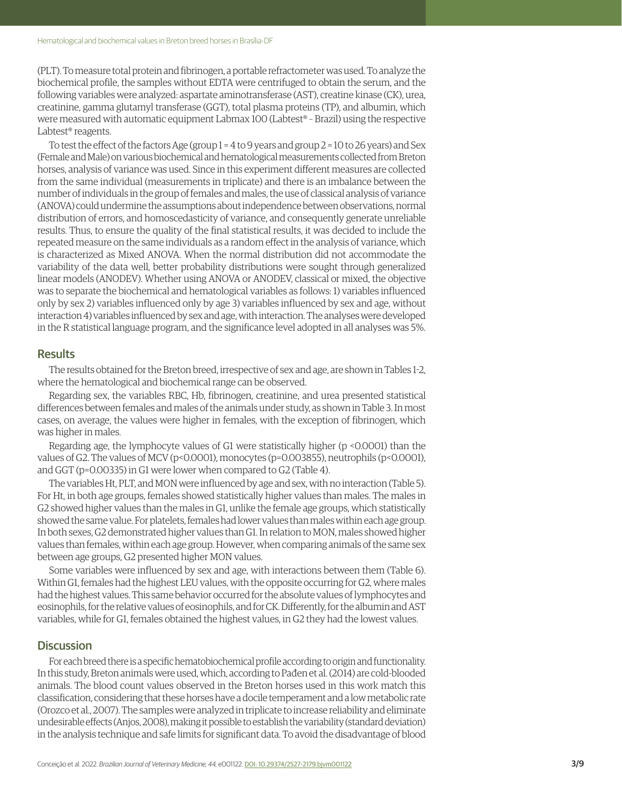(PLT). To measure total protein and fibrinogen, a portable refractometer was used. To analyze the biochemical profile, the samples without EDTA were centrifuged to obtain the serum, and the following variables were analyzed: aspartate aminotransferase (AST), creatine kinase (CK), urea, creatinine, gamma glutamyl transferase (GGT), total plasma proteins (TP), and albumin, which were measured with automatic equipment Labmax 100 (Labtest® – Brazil) using the respective Labtest® reagents.

To test the effect of the factors Age (group 1 = 4 to 9 years and group 2 = 10 to 26 years) and Sex (Female and Male) on various biochemical and hematological measurements collected from Breton horses, analysis of variance was used. Since in this experiment different measures are collected from the same individual (measurements in triplicate) and there is an imbalance between the number of individuals in the group of females and males, the use of classical analysis of variance (ANOVA) could undermine the assumptions about independence between observations, normal distribution of errors, and homoscedasticity of variance, and consequently generate unreliable results. Thus, to ensure the quality of the final statistical results, it was decided to include the repeated measure on the same individuals as a random effect in the analysis of variance, which is characterized as Mixed ANOVA. When the normal distribution did not accommodate the variability of the data well, better probability distributions were sought through generalized linear models (ANODEV). Whether using ANOVA or ANODEV, classical or mixed, the objective was to separate the biochemical and hematological variables as follows: 1) variables influenced only by sex 2) variables influenced only by age 3) variables influenced by sex and age, without interaction 4) variables influenced by sex and age, with interaction. The analyses were developed in the R statistical language program, and the significance level adopted in all analyses was 5%.

#### **Results**

The results obtained for the Breton breed, irrespective of sex and age, are shown in Tables 1-2, where the hematological and biochemical range can be observed.

Regarding sex, the variables RBC, Hb, fibrinogen, creatinine, and urea presented statistical differences between females and males of the animals under study, as shown in Table 3. In most cases, on average, the values were higher in females, with the exception of fibrinogen, which was higher in males.

Regarding age, the lymphocyte values of G1 were statistically higher (p <0.0001) than the values of G2. The values of MCV (p<0.0001), monocytes (p=0.003855), neutrophils (p<0.0001), and GGT (p=0.00335) in G1 were lower when compared to G2 (Table 4).

The variables Ht, PLT, and MON were influenced by age and sex, with no interaction (Table 5). For Ht, in both age groups, females showed statistically higher values than males. The males in G2 showed higher values than the males in G1, unlike the female age groups, which statistically showed the same value. For platelets, females had lower values than males within each age group. In both sexes, G2 demonstrated higher values than G1. In relation to MON, males showed higher values than females, within each age group. However, when comparing animals of the same sex between age groups, G2 presented higher MON values.

Some variables were influenced by sex and age, with interactions between them (Table 6). Within G1, females had the highest LEU values, with the opposite occurring for G2, where males had the highest values. This same behavior occurred for the absolute values of lymphocytes and eosinophils, for the relative values of eosinophils, and for CK. Differently, for the albumin and AST variables, while for G1, females obtained the highest values, in G2 they had the lowest values.

#### **Discussion**

For each breed there is a specific hematobiochemical profile according to origin and functionality. In this study, Breton animals were used, which, according to Pađen et al. (2014) are cold-blooded animals. The blood count values observed in the Breton horses used in this work match this classification, considering that these horses have a docile temperament and a low metabolic rate (Orozco et al., 2007). The samples were analyzed in triplicate to increase reliability and eliminate undesirable effects (Anjos, 2008), making it possible to establish the variability (standard deviation) in the analysis technique and safe limits for significant data. To avoid the disadvantage of blood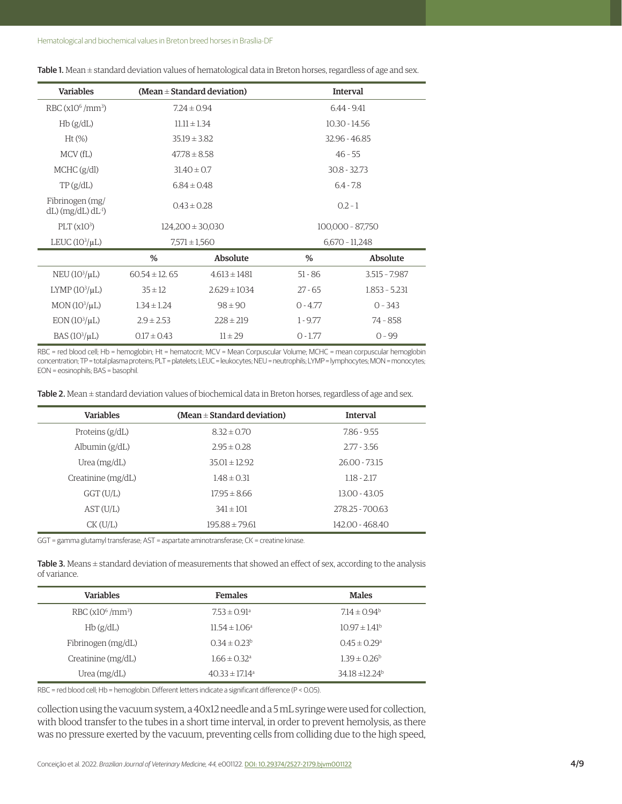| <b>Variables</b>                                           |                      | (Mean $\pm$ Standard deviation) | <b>Interval</b>  |                 |  |
|------------------------------------------------------------|----------------------|---------------------------------|------------------|-----------------|--|
| RBC (x10 <sup>6</sup> /mm <sup>3</sup> )                   | $7.24 \pm 0.94$      |                                 | 6.44 - 9.41      |                 |  |
| Hb(g/dL)                                                   | $11.11 \pm 1.34$     |                                 |                  | $10.30 - 14.56$ |  |
| $Ht$ (%)                                                   | $35.19 \pm 3.82$     |                                 | 32.96 - 46.85    |                 |  |
| MCV(fL)                                                    | $47.78 \pm 8.58$     |                                 | $46 - 55$        |                 |  |
| MCHC (g/dl)                                                | $31.40 \pm 0.7$      |                                 | $30.8 - 32.73$   |                 |  |
| TP(g/dL)                                                   | $6.84 \pm 0.48$      |                                 | $6.4 - 7.8$      |                 |  |
| Fibrinogen (mg/<br>$dL$ ) (mg/ $dL$ ) $dL$ <sup>-1</sup> ) | $0.43 \pm 0.28$      |                                 | $0.2 - 1$        |                 |  |
| PLT(x10 <sup>3</sup> )                                     | $124,200 \pm 30,030$ |                                 | 100,000 - 87,750 |                 |  |
| LEUC $(10^3/\mu L)$                                        | $7,571 \pm 1,560$    |                                 | $6,670 - 11,248$ |                 |  |
|                                                            | %                    | Absolute                        | %                | Absolute        |  |
| NEU $(10^3/\mu L)$                                         | $60.54 \pm 12.65$    | $4.613 \pm 1481$                | $51 - 86$        | $3.515 - 7.987$ |  |
| $LYMP(103/\mu L)$                                          | $35 \pm 12$          | $2.629 \pm 1034$                | $27 - 65$        | $1.853 - 5.231$ |  |
| MON(10 <sup>3</sup> /μL)                                   | $1.34 \pm 1.24$      | $98 \pm 90$                     | $O - 4.77$       | $0 - 343$       |  |
| $EON(103/\mu L)$                                           | $2.9 \pm 2.53$       | $228 \pm 219$                   | $1 - 9.77$       | 74 - 858        |  |
| BAS $(103/\mu L)$                                          | $0.17 \pm 0.43$      | $11 \pm 29$                     | $O - 1.77$       | $0 - 99$        |  |

Table 1. Mean  $\pm$  standard deviation values of hematological data in Breton horses, regardless of age and sex.

RBC = red blood cell; Hb = hemoglobin; Ht = hematocrit; MCV = Mean Corpuscular Volume; MCHC = mean corpuscular hemoglobin concentration; TP = total plasma proteins; PLT = platelets; LEUC = leukocytes; NEU = neutrophils; LYMP = lymphocytes; MON = monocytes; EON = eosinophils; BAS = basophil.

Table 2. Mean  $\pm$  standard deviation values of biochemical data in Breton horses, regardless of age and sex.

| <b>Variables</b>   | (Mean $\pm$ Standard deviation) | <b>Interval</b> |  |
|--------------------|---------------------------------|-----------------|--|
| Proteins $(g/dL)$  | $8.32 \pm 0.70$                 | 7.86 - 9.55     |  |
| Albumin $(g/dL)$   | $2.95 \pm 0.28$                 | $2.77 - 3.56$   |  |
| Urea $(mg/dL)$     | $35.01 \pm 12.92$               | 26.00 - 73.15   |  |
| Creatinine (mg/dL) | $1.48 \pm 0.31$                 | $1.18 - 2.17$   |  |
| GGT(U/L)           | $17.95 \pm 8.66$                | $13.00 - 43.05$ |  |
| AST(U/L)           | $341 \pm 101$                   | 278.25 - 700.63 |  |
| $CK$ (U/L)         | $195.88 \pm 79.61$              | 142.00 - 468.40 |  |

GGT = gamma glutamyl transferase; AST = aspartate aminotransferase; CK = creatine kinase.

Table 3. Means  $\pm$  standard deviation of measurements that showed an effect of sex, according to the analysis of variance.

| <b>Variables</b>     | <b>Females</b>                 | <b>Males</b>                 |
|----------------------|--------------------------------|------------------------------|
| $RBC(x10^6/mm^3)$    | $7.53 \pm 0.91$ <sup>a</sup>   | $7.14 \pm 0.94^b$            |
| Hb(g/dL)             | $11.54 \pm 1.06^a$             | $1097 \pm 141$ <sup>b</sup>  |
| Fibrinogen (mg/dL)   | $0.34 \pm 0.23^b$              | $0.45 \pm 0.29$ <sup>a</sup> |
| Creatinine $(mg/dL)$ | $1.66 \pm 0.32$ <sup>a</sup>   | $1.39 \pm 0.26^b$            |
| Urea $(mg/dL)$       | $40.33 \pm 17.14$ <sup>a</sup> | 34.18 ±12.24 <sup>b</sup>    |

RBC = red blood cell; Hb = hemoglobin. Different letters indicate a significant difference (P < 0.05).

collection using the vacuum system, a 40x12 needle and a 5 mL syringe were used for collection, with blood transfer to the tubes in a short time interval, in order to prevent hemolysis, as there was no pressure exerted by the vacuum, preventing cells from colliding due to the high speed,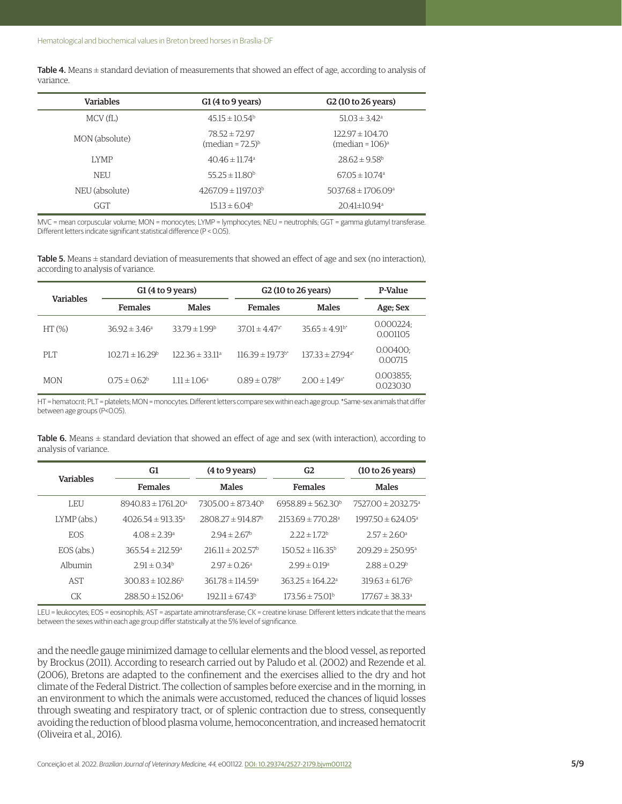Table 4. Means  $\pm$  standard deviation of measurements that showed an effect of age, according to analysis of variance.

| <b>Variables</b> | G1(4 to 9 years)                           | G <sub>2</sub> (10 to 26 years)                       |
|------------------|--------------------------------------------|-------------------------------------------------------|
| MCV(fL)          | $45.15 \pm 10.54^b$                        | $51.03 \pm 3.42^a$                                    |
| MON (absolute)   | $78.52 \pm 72.97$<br>$(median = 72.5)^{b}$ | $122.97 \pm 104.70$<br>(median = $106$ ) <sup>a</sup> |
| <b>LYMP</b>      | $4046 \pm 1174$ <sup>a</sup>               | $28.62 \pm 9.58$ <sup>b</sup>                         |
| <b>NEU</b>       | $55.25 \pm 11.80^b$                        | $67.05 \pm 10.74$ <sup>a</sup>                        |
| NEU (absolute)   | $4267.09 \pm 1197.03^b$                    | $503768 \pm 1706.09$ <sup>a</sup>                     |
| GGT              | $15.13 \pm 6.04^b$                         | 20.41±10.94ª                                          |

MVC = mean corpuscular volume; MON = monocytes; LYMP = lymphocytes; NEU = neutrophils; GGT = gamma glutamyl transferase. Different letters indicate significant statistical difference (P < 0.05).

Table 5. Means  $\pm$  standard deviation of measurements that showed an effect of age and sex (no interaction), according to analysis of variance.

| <b>Variables</b> | G1(4 to 9 years)           |                      | G <sub>2</sub> (10 to 26 years)  |                                  | P-Value              |
|------------------|----------------------------|----------------------|----------------------------------|----------------------------------|----------------------|
|                  | <b>Females</b>             | <b>Males</b>         | <b>Females</b>                   | Males                            | Age; Sex             |
| $HT(\% )$        | $36.92 \pm 3.46^a$         | $33.79 \pm 1.99^b$   | $37.01 \pm 4.47$ <sup>a*</sup>   | $35.65 \pm 4.91$ <sup>b*</sup>   | 0.000224<br>0.001105 |
| PI.T             | $102.71 \pm 16.29^{\circ}$ | $122.36 \pm 33.11^a$ | $116.39 \pm 19.73$ <sup>b*</sup> | $137.33 \pm 27.94$ <sup>a*</sup> | 0.00400;<br>0.00715  |
| <b>MON</b>       | $0.75 \pm 0.62^b$          | $1.11 \pm 1.06^a$    | $0.89 \pm 0.78$ <sup>b*</sup>    | $2.00 \pm 1.49$ <sup>a*</sup>    | 0.003855<br>0.023030 |

HT = hematocrit; PLT = platelets; MON = monocytes. Different letters compare sex within each age group. \*Same-sex animals that differ between age groups (P<0.05).

Table 6. Means  $\pm$  standard deviation that showed an effect of age and sex (with interaction), according to analysis of variance.

| <b>Variables</b> | G1                              | (4 to 9 years)<br>G <sub>2</sub> |                                  | (10 to 26 years)                  |
|------------------|---------------------------------|----------------------------------|----------------------------------|-----------------------------------|
|                  | <b>Females</b>                  | <b>Males</b>                     | <b>Females</b>                   | <b>Males</b>                      |
| LEU              | $894083 \pm 176120^{\circ}$     | $730500 \pm 87340^b$             | $6958.89 \pm 562.30^b$           | $752700 \pm 2032.75$ <sup>a</sup> |
| $LYMP$ (abs.)    | $402654 \pm 91335$ <sup>a</sup> | $280827 \pm 91487$ <sup>b</sup>  | $215369 \pm 77028$ <sup>a</sup>  | $199750 \pm 62405$ <sup>a</sup>   |
| EOS.             | $408 \pm 239$ <sup>a</sup>      | $2.94 \pm 2.67^{\circ}$          | $2.22 \pm 1.72^b$                | $2.57 \pm 2.60$ <sup>a</sup>      |
| $EOS$ (abs.)     | $36554 \pm 21259$ <sup>a</sup>  | $21611 \pm 20257$                | $15052 \pm 11635$                | $209.29 \pm 250.95$ <sup>a</sup>  |
| Albumin          | $2.91 \pm 0.34^b$               | $2.97 \pm 0.26$ <sup>a</sup>     | $2.99 \pm 0.19^a$                | $2.88 \pm 0.29^b$                 |
| <b>AST</b>       | $300.83 \pm 102.86^b$           | $361.78 \pm 114.59$ <sup>a</sup> | $363.25 \pm 164.22$ <sup>a</sup> | $319.63 \pm 61.76^b$              |
| СK               | $288.50 \pm 152.06^a$           | $192.11 \pm 6743$ <sup>b</sup>   | $173.56 \pm 75.01^{\circ}$       | $177.67 \pm 38.33$ <sup>a</sup>   |

LEU = leukocytes; EOS = eosinophils; AST = aspartate aminotransferase; CK = creatine kinase. Different letters indicate that the means between the sexes within each age group differ statistically at the 5% level of significance.

and the needle gauge minimized damage to cellular elements and the blood vessel, as reported by Brockus (2011). According to research carried out by Paludo et al. (2002) and Rezende et al. (2006), Bretons are adapted to the confinement and the exercises allied to the dry and hot climate of the Federal District. The collection of samples before exercise and in the morning, in an environment to which the animals were accustomed, reduced the chances of liquid losses through sweating and respiratory tract, or of splenic contraction due to stress, consequently avoiding the reduction of blood plasma volume, hemoconcentration, and increased hematocrit (Oliveira et al., 2016).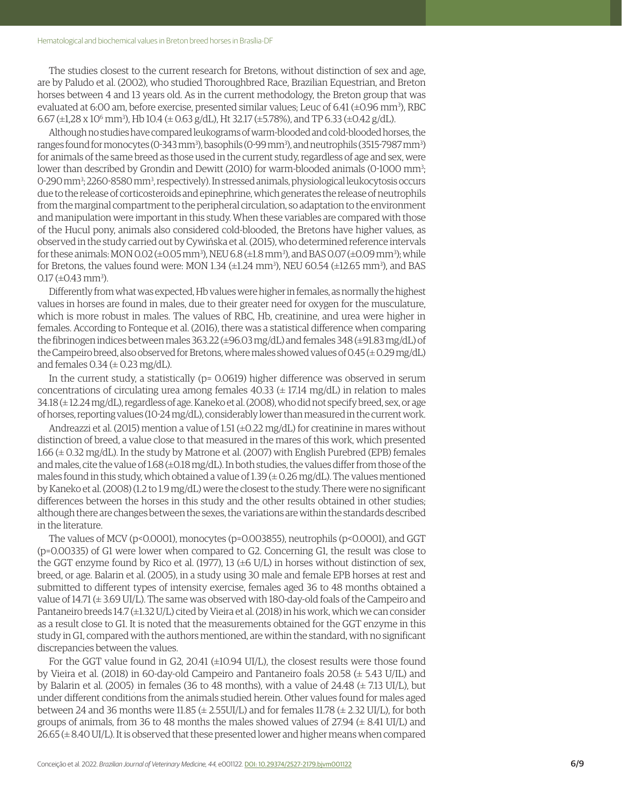The studies closest to the current research for Bretons, without distinction of sex and age, are by Paludo et al. (2002), who studied Thoroughbred Race, Brazilian Equestrian, and Breton horses between 4 and 13 years old. As in the current methodology, the Breton group that was evaluated at 6:00 am, before exercise, presented similar values; Leuc of 6.41 (±0.96 mm3 ), RBC  $6.67$  (±1,28 x 10 $^6$  mm $^3$ ), Hb 10.4 (± 0.63 g/dL), Ht 32.17 (±5.78%), and TP 6.33 (±0.42 g/dL).

Although no studies have compared leukograms of warm-blooded and cold-blooded horses, the ranges found for monocytes (0-343 mm<sup>3</sup>), basophils (0-99 mm<sup>3</sup>), and neutrophils (3515-7987 mm<sup>3</sup>) for animals of the same breed as those used in the current study, regardless of age and sex, were lower than described by Grondin and Dewitt (2010) for warm-blooded animals (0-1000 mm<sup>3</sup>; 0-290 mm<sup>3</sup>; 2260-8580 mm<sup>3</sup>, respectively). In stressed animals, physiological leukocytosis occurs due to the release of corticosteroids and epinephrine, which generates the release of neutrophils from the marginal compartment to the peripheral circulation, so adaptation to the environment and manipulation were important in this study. When these variables are compared with those of the Hucul pony, animals also considered cold-blooded, the Bretons have higher values, as observed in the study carried out by Cywińska et al. (2015), who determined reference intervals for these animals: MON 0.02 (±0.05 mm3 ), NEU 6.8 (±1.8 mm3 ), and BAS 0.07 (±0.09 mm3 ); while for Bretons, the values found were: MON 1.34  $(\pm 1.24 \text{ mm}^3)$ , NEU 60.54  $(\pm 12.65 \text{ mm}^3)$ , and BAS  $0.17 \, (\pm 0.43 \, \text{mm}^3)$ .

Differently from what was expected, Hb values were higher in females, as normally the highest values in horses are found in males, due to their greater need for oxygen for the musculature, which is more robust in males. The values of RBC, Hb, creatinine, and urea were higher in females. According to Fonteque et al. (2016), there was a statistical difference when comparing the fibrinogen indices between males 363.22 (±96.03 mg/dL) and females 348 (±91.83 mg/dL) of the Campeiro breed, also observed for Bretons, where males showed values of  $0.45 (\pm 0.29 \text{ mg/dL})$ and females  $0.34 \left( \pm 0.23 \text{ mg/dL} \right)$ .

In the current study, a statistically (p= 0.0619) higher difference was observed in serum concentrations of circulating urea among females  $40.33 \ (\pm 17.14 \text{ mg/dL})$  in relation to males 34.18 (± 12.24 mg/dL), regardless of age. Kaneko et al. (2008), who did not specify breed, sex, or age of horses, reporting values (10-24 mg/dL), considerably lower than measured in the current work.

Andreazzi et al. (2015) mention a value of 1.51 ( $\pm$ 0.22 mg/dL) for creatinine in mares without distinction of breed, a value close to that measured in the mares of this work, which presented 1.66 (± 0.32 mg/dL). In the study by Matrone et al. (2007) with English Purebred (EPB) females and males, cite the value of 1.68 (±0.18 mg/dL). In both studies, the values differ from those of the males found in this study, which obtained a value of  $1.39 \times 0.26$  mg/dL). The values mentioned by Kaneko et al. (2008) (1.2 to 1.9 mg/dL) were the closest to the study. There were no significant differences between the horses in this study and the other results obtained in other studies; although there are changes between the sexes, the variations are within the standards described in the literature.

The values of MCV (p<0.0001), monocytes (p=0.003855), neutrophils (p<0.0001), and GGT (p=0.00335) of G1 were lower when compared to G2. Concerning G1, the result was close to the GGT enzyme found by Rico et al. (1977), 13  $(\pm 6 \text{ U/L})$  in horses without distinction of sex, breed, or age. Balarin et al. (2005), in a study using 30 male and female EPB horses at rest and submitted to different types of intensity exercise, females aged 36 to 48 months obtained a value of  $14.71 \left(\pm 3.69 \text{ UI/L}\right)$ . The same was observed with  $180$ -day-old foals of the Campeiro and Pantaneiro breeds 14.7 (±1.32 U/L) cited by Vieira et al. (2018) in his work, which we can consider as a result close to G1. It is noted that the measurements obtained for the GGT enzyme in this study in G1, compared with the authors mentioned, are within the standard, with no significant discrepancies between the values.

For the GGT value found in G2, 20.41 ( $\pm$ 10.94 UI/L), the closest results were those found by Vieira et al. (2018) in 60-day-old Campeiro and Pantaneiro foals 20.58 (± 5.43 U/IL) and by Balarin et al. (2005)<sub>,</sub> in females (36 to 48 months), with a value of 24.48 ( $\pm$  7.13 UI/L), but under different conditions from the animals studied herein. Other values found for males aged between 24 and 36 months were  $11.85 \pm 2.55U I/L$ ) and for females  $11.78 \pm 2.32 U I/L$ ), for both groups of animals, from 36 to 48 months the males showed values of  $27.94 \leq 8.41$  UI/L) and  $26.65 \times 200$  UI/L). It is observed that these presented lower and higher means when compared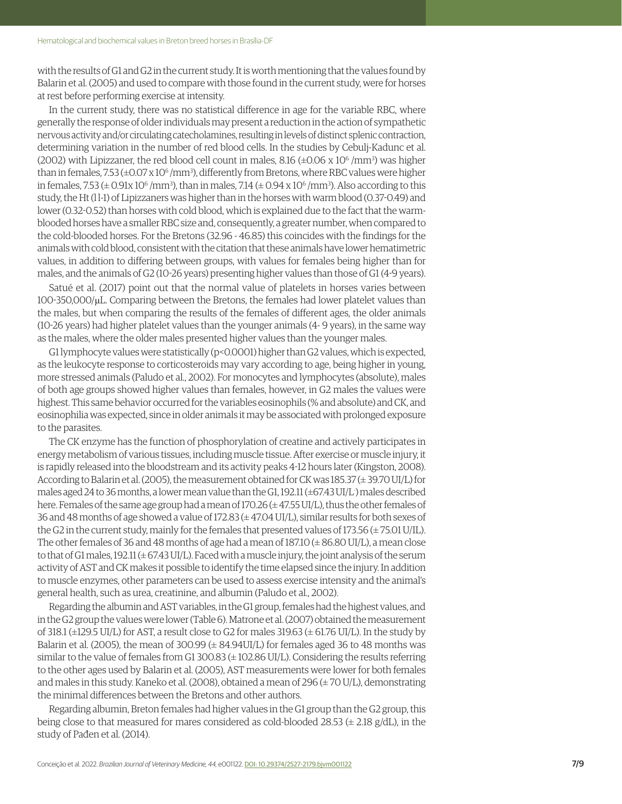with the results of G1 and G2 in the current study. It is worth mentioning that the values found by Balarin et al. (2005) and used to compare with those found in the current study, were for horses at rest before performing exercise at intensity.

In the current study, there was no statistical difference in age for the variable RBC, where generally the response of older individuals may present a reduction in the action of sympathetic nervous activity and/or circulating catecholamines, resulting in levels of distinct splenic contraction, determining variation in the number of red blood cells. In the studies by Cebulj-Kadunc et al. (2002) with Lipizzaner, the red blood cell count in males, 8.16  $(\pm 0.06 \times 10^6/\mathrm{mm}^3)$  was higher than in females, 7.53 (±0.07 x 10<sup>6</sup> /mm<sup>3</sup>), differently from Bretons, where RBC values were higher in females, 7.53 ( $\pm$  0.91x 10 $^6$  /mm3), than in males, 7.14 ( $\pm$  0.94 x 10 $^6$  /mm3). Also according to this study, the Ht (l l-1) of Lipizzaners was higher than in the horses with warm blood (0.37-0.49) and lower (0.32-0.52) than horses with cold blood, which is explained due to the fact that the warmblooded horses have a smaller RBC size and, consequently, a greater number, when compared to the cold-blooded horses. For the Bretons (32.96 - 46.85) this coincides with the findings for the animals with cold blood, consistent with the citation that these animals have lower hematimetric values, in addition to differing between groups, with values for females being higher than for males, and the animals of G2 (10-26 years) presenting higher values than those of G1 (4-9 years).

Satué et al. (2017) point out that the normal value of platelets in horses varies between 100-350,000/μL. Comparing between the Bretons, the females had lower platelet values than the males, but when comparing the results of the females of different ages, the older animals (10-26 years) had higher platelet values than the younger animals (4- 9 years), in the same way as the males, where the older males presented higher values than the younger males.

G1 lymphocyte values were statistically (p<0.0001) higher than G2 values, which is expected, as the leukocyte response to corticosteroids may vary according to age, being higher in young, more stressed animals (Paludo et al., 2002). For monocytes and lymphocytes (absolute), males of both age groups showed higher values than females, however, in G2 males the values were highest. This same behavior occurred for the variables eosinophils (% and absolute) and CK, and eosinophilia was expected, since in older animals it may be associated with prolonged exposure to the parasites.

The CK enzyme has the function of phosphorylation of creatine and actively participates in energy metabolism of various tissues, including muscle tissue. After exercise or muscle injury, it is rapidly released into the bloodstream and its activity peaks 4-12 hours later (Kingston, 2008). According to Balarin et al. (2005), the measurement obtained for CK was 185.37 (± 39.70 UI/L) for males aged 24 to 36 months, a lower mean value than the G1, 192.11 (±67.43 UI/L- ) males described here. Females of the same age group had a mean of 170.26 (± 47.55 UI/L), thus the other females of 36 and 48 months of age showed a value of 172.83  $(\pm 47.04 \text{ UI/L})$ , similar results for both sexes of the G2 in the current study, mainly for the females that presented values of 173.56  $(\pm 75.01 \text{ U/IL})$ . The other females of 36 and 48 months of age had a mean of  $187.10 \ (\pm 86.80 \ UI/L)$ , a mean close to that of G1 males,  $192.11 \left(\pm 67.43 \text{ UI/L}\right)$ . Faced with a muscle injury, the joint analysis of the serum activity of AST and CK makes it possible to identify the time elapsed since the injury. In addition to muscle enzymes, other parameters can be used to assess exercise intensity and the animal's general health, such as urea, creatinine, and albumin (Paludo et al., 2002).

Regarding the albumin and AST variables, in the G1 group, females had the highest values, and in the G2 group the values were lower (Table 6). Matrone et al. (2007) obtained the measurement of 318.1 ( $\pm$ 129.5 UI/L) for AST, a result close to G2 for males 319.63 ( $\pm$  61.76 UI/L). In the study by Balarin et al. (2005), the mean of 300.99 ( $\pm$  84.94UI/L) for females aged 36 to 48 months was similar to the value of females from G1 300.83  $(\pm 102.86 \text{ UI/L})$ . Considering the results referring to the other ages used by Balarin et al. (2005), AST measurements were lower for both females and males in this study. Kaneko et al. (2008), obtained a mean of 296 ( $\pm$  70 U/L), demonstrating the minimal differences between the Bretons and other authors.

Regarding albumin, Breton females had higher values in the G1 group than the G2 group, this being close to that measured for mares considered as cold-blooded 28.53  $(\pm 2.18 \text{ g/dL})$ , in the study of Pađen et al. (2014).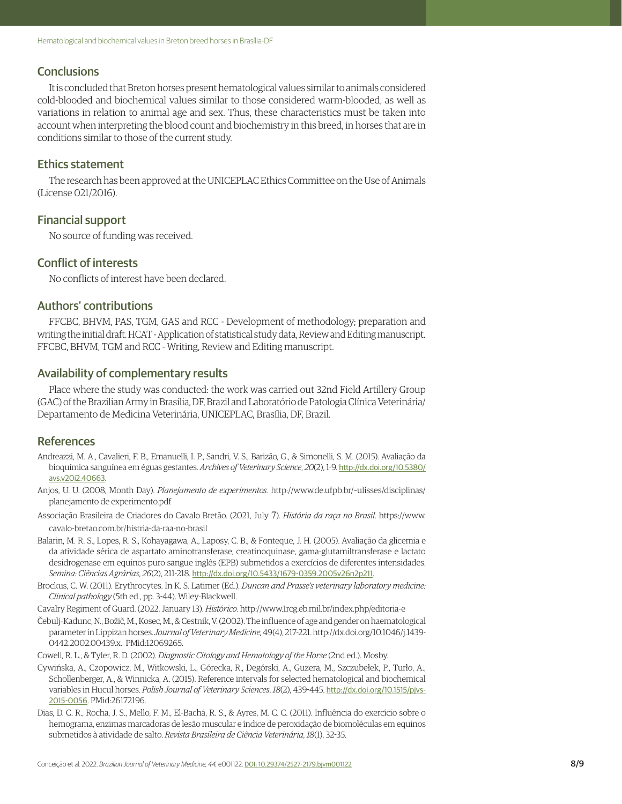#### **Conclusions**

It is concluded that Breton horses present hematological values similar to animals considered cold-blooded and biochemical values similar to those considered warm-blooded, as well as variations in relation to animal age and sex. Thus, these characteristics must be taken into account when interpreting the blood count and biochemistry in this breed, in horses that are in conditions similar to those of the current study.

### Ethics statement

The research has been approved at the UNICEPLAC Ethics Committee on the Use of Animals (License 021/2016).

### Financial support

No source of funding was received.

## Conflict of interests

No conflicts of interest have been declared.

# Authors' contributions

FFCBC, BHVM, PAS, TGM, GAS and RCC - Development of methodology; preparation and writing the initial draft. HCAT - Application of statistical study data, Review and Editing manuscript. FFCBC, BHVM, TGM and RCC - Writing, Review and Editing manuscript.

### Availability of complementary results

Place where the study was conducted: the work was carried out 32nd Field Artillery Group (GAC) of the Brazilian Army in Brasília, DF, Brazil and Laboratório de Patologia Clínica Veterinária/ Departamento de Medicina Veterinária, UNICEPLAC, Brasília, DF, Brazil.

### **References**

- Andreazzi, M. A., Cavalieri, F. B., Emanuelli, I. P., Sandri, V. S., Barizão, G., & Simonelli, S. M. (2015). Avaliação da bioquímica sanguínea em éguas gestantes. *Archives of Veterinary Science*, *20*(2), 1-9. [http://dx.doi.org/10.5380/](https://doi.org/10.5380/avs.v20i2.40663) [avs.v20i2.40663](https://doi.org/10.5380/avs.v20i2.40663).
- Anjos, U. U. (2008, Month Day). *Planejamento de experimentos*. http://www.de.ufpb.br/~ulisses/disciplinas/ planejamento de experimento.pdf
- Associação Brasileira de Criadores do Cavalo Bretão. (2021, July 7). *História da raça no Brasil*. https://www. cavalo-bretao.com.br/histria-da-raa-no-brasil
- Balarin, M. R. S., Lopes, R. S., Kohayagawa, A., Laposy, C. B., & Fonteque, J. H. (2005). Avaliação da glicemia e da atividade sérica de aspartato aminotransferase, creatinoquinase, gama-glutamiltransferase e lactato desidrogenase em equinos puro sangue inglês (EPB) submetidos a exercícios de diferentes intensidades. *Semina: Ciências Agrárias*, *26*(2), 211-218. [http://dx.doi.org/10.5433/1679-0359.2005v26n2p211](https://doi.org/10.5433/1679-0359.2005v26n2p211).
- Brockus, C. W. (2011). Erythrocytes. In K. S. Latimer (Ed.), *Duncan and Prasse's veterinary laboratory medicine: Clinical pathology* (5th ed., pp. 3-44). Wiley-Blackwell.
- Cavalry Regiment of Guard. (2022, January 13). *Histórico*. http://www.1rcg.eb.mil.br/index.php/editoria-e
- Čebulj‐Kadunc, N., Božič, M., Kosec, M., & Cestnik, V. (2002). The influence of age and gender on haematological parameter in Lippizan horses. *Journal of Veterinary Medicine,* 49(4), 217-221. http://dx.doi.org/10.1046/j.1439- 0442.2002.00439.x. PMid:12069265.
- Cowell, R. L., & Tyler, R. D. (2002). *Diagnostic Citology and Hematology of the Horse* (2nd ed.). Mosby.
- Cywińska, A., Czopowicz, M., Witkowski, L., Górecka, R., Degórski, A., Guzera, M., Szczubełek, P., Turło, A., Schollenberger, A., & Winnicka, A. (2015). Reference intervals for selected hematological and biochemical variables in Hucul horses. *Polish Journal of Veterinary Sciences*, *18*(2), 439-445. [http://dx.doi.org/10.1515/pjvs-](https://doi.org/10.1515/pjvs-2015-0056)[2015-0056](https://doi.org/10.1515/pjvs-2015-0056). [PMid:26172196.](https://www.ncbi.nlm.nih.gov/entrez/query.fcgi?cmd=Retrieve&db=PubMed&list_uids=26172196&dopt=Abstract)
- Dias, D. C. R., Rocha, J. S., Mello, F. M., El-Bachá, R. S., & Ayres, M. C. C. (2011). Influência do exercício sobre o hemograma, enzimas marcadoras de lesão muscular e índice de peroxidação de biomoléculas em equinos submetidos à atividade de salto. *Revista Brasileira de Ciência Veterinária*, *18*(1), 32-35.